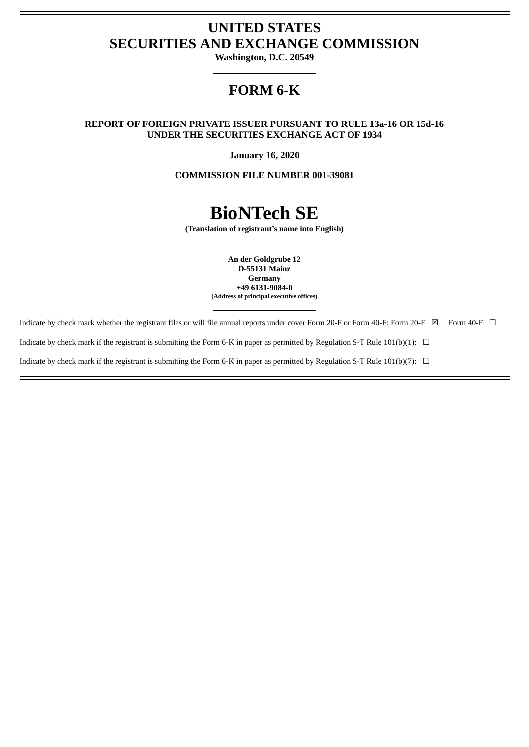### **UNITED STATES SECURITIES AND EXCHANGE COMMISSION**

**Washington, D.C. 20549**

### **FORM 6-K**

**REPORT OF FOREIGN PRIVATE ISSUER PURSUANT TO RULE 13a-16 OR 15d-16 UNDER THE SECURITIES EXCHANGE ACT OF 1934**

**January 16, 2020**

**COMMISSION FILE NUMBER 001-39081**

## **BioNTech SE**

**(Translation of registrant's name into English)**

**An der Goldgrube 12 D-55131 Mainz Germany +49 6131-9084-0 (Address of principal executive offices)**

Indicate by check mark whether the registrant files or will file annual reports under cover Form 20-F or Form 40-F: Form 20-F  $\boxtimes$  Form 40-F  $\Box$ 

Indicate by check mark if the registrant is submitting the Form 6-K in paper as permitted by Regulation S-T Rule 101(b)(1):  $\Box$ 

Indicate by check mark if the registrant is submitting the Form 6-K in paper as permitted by Regulation S-T Rule 101(b)(7):  $\Box$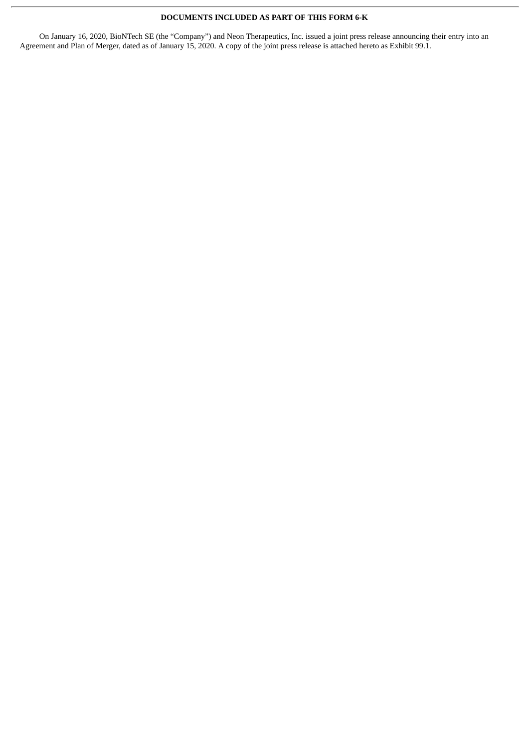#### **DOCUMENTS INCLUDED AS PART OF THIS FORM 6-K**

On January 16, 2020, BioNTech SE (the "Company") and Neon Therapeutics, Inc. issued a joint press release announcing their entry into an Agreement and Plan of Merger, dated as of January 15, 2020. A copy of the joint press release is attached hereto as Exhibit 99.1.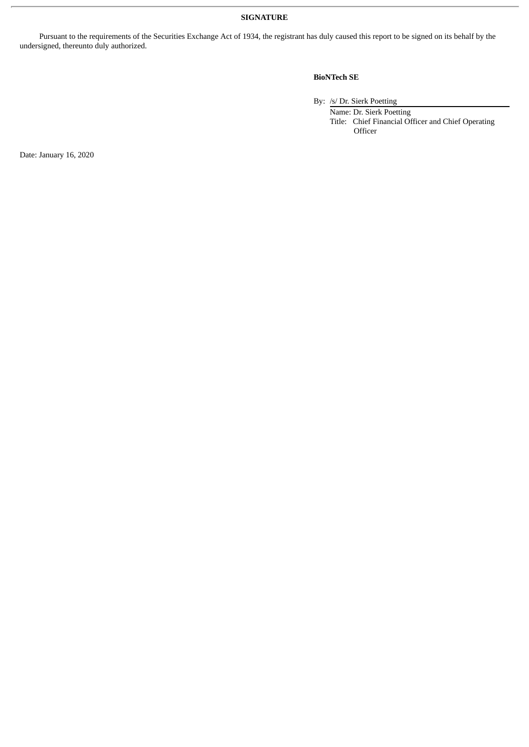#### **SIGNATURE**

Pursuant to the requirements of the Securities Exchange Act of 1934, the registrant has duly caused this report to be signed on its behalf by the undersigned, thereunto duly authorized.

#### **BioNTech SE**

By: /s/ Dr. Sierk Poetting

Name: Dr. Sierk Poetting Title: Chief Financial Officer and Chief Operating **Officer** 

Date: January 16, 2020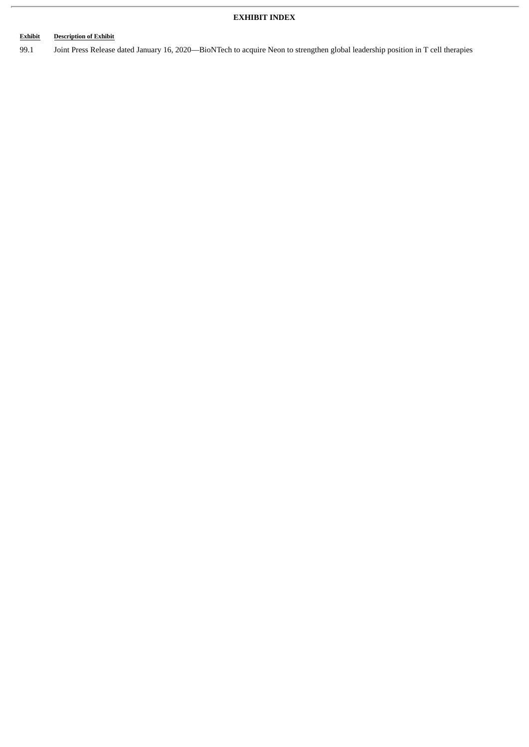### **EXHIBIT INDEX**

### **Exhibit Description of Exhibit**

99.1 Joint Press Release dated January 16, 2020—BioNTech to acquire Neon to strengthen global leadership position in T cell therapies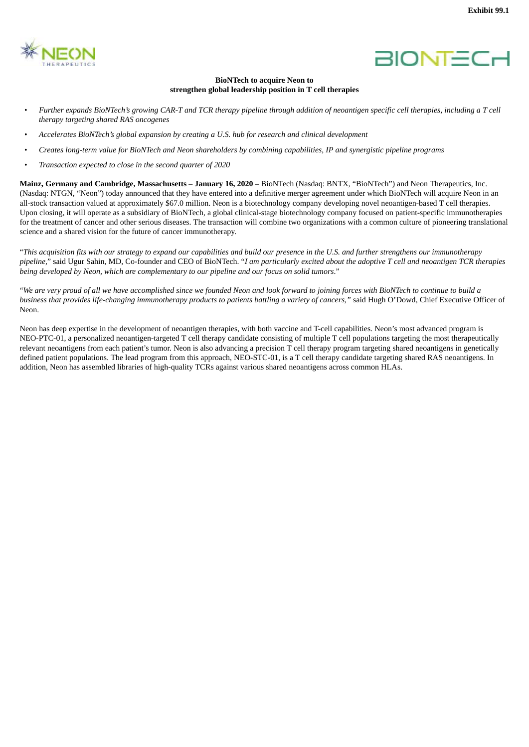

# **BIONTECH**

#### **BioNTech to acquire Neon to strengthen global leadership position in T cell therapies**

- Further expands BioNTech's growing CAR-T and TCR therapy pipeline through addition of neoantigen specific cell therapies, including a T cell *therapy targeting shared RAS oncogenes*
- *Accelerates BioNTech's global expansion by creating a U.S. hub for research and clinical development*
- Creates long-term value for BioNTech and Neon shareholders by combining capabilities, IP and synergistic pipeline programs
- *Transaction expected to close in the second quarter of 2020*

**Mainz, Germany and Cambridge, Massachusetts** – **January 16, 2020** – BioNTech (Nasdaq: BNTX, "BioNTech") and Neon Therapeutics, Inc. (Nasdaq: NTGN, "Neon") today announced that they have entered into a definitive merger agreement under which BioNTech will acquire Neon in an all-stock transaction valued at approximately \$67.0 million. Neon is a biotechnology company developing novel neoantigen-based T cell therapies. Upon closing, it will operate as a subsidiary of BioNTech, a global clinical-stage biotechnology company focused on patient-specific immunotherapies for the treatment of cancer and other serious diseases. The transaction will combine two organizations with a common culture of pioneering translational science and a shared vision for the future of cancer immunotherapy.

"This acquisition fits with our strategy to expand our capabilities and build our presence in the U.S. and further strengthens our immunotherapy pipeline," said Ugur Sahin, MD, Co-founder and CEO of BioNTech. "I am particularly excited about the adoptive T cell and neoantigen TCR therapies *being developed by Neon, which are complementary to our pipeline and our focus on solid tumors*."

"We are very proud of all we have accomplished since we founded Neon and look forward to joining forces with BioNTech to continue to build a business that provides life-changing immunotherapy products to patients battling a variety of cancers," said Hugh O'Dowd, Chief Executive Officer of Neon.

Neon has deep expertise in the development of neoantigen therapies, with both vaccine and T-cell capabilities. Neon's most advanced program is NEO-PTC-01, a personalized neoantigen-targeted T cell therapy candidate consisting of multiple T cell populations targeting the most therapeutically relevant neoantigens from each patient's tumor. Neon is also advancing a precision T cell therapy program targeting shared neoantigens in genetically defined patient populations. The lead program from this approach, NEO-STC-01, is a T cell therapy candidate targeting shared RAS neoantigens. In addition, Neon has assembled libraries of high-quality TCRs against various shared neoantigens across common HLAs.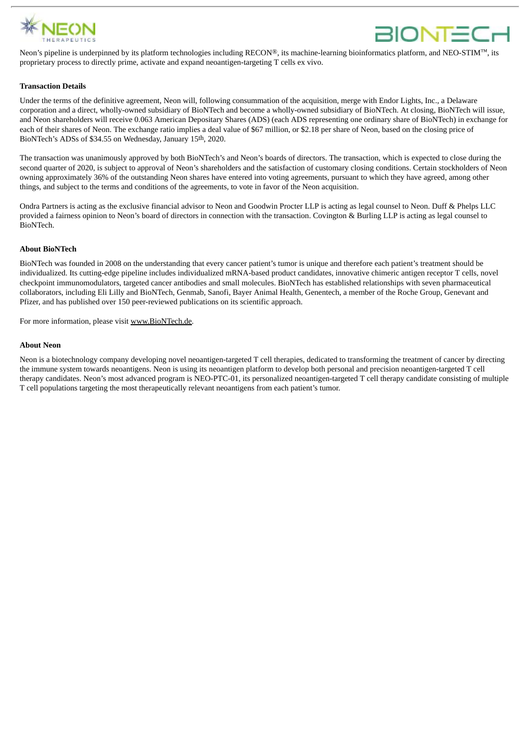

# $\sqrt{1-1}$

Neon's pipeline is underpinned by its platform technologies including RECON®, its machine-learning bioinformatics platform, and NEO-STIM™, its proprietary process to directly prime, activate and expand neoantigen-targeting T cells ex vivo.

#### **Transaction Details**

Under the terms of the definitive agreement, Neon will, following consummation of the acquisition, merge with Endor Lights, Inc., a Delaware corporation and a direct, wholly-owned subsidiary of BioNTech and become a wholly-owned subsidiary of BioNTech. At closing, BioNTech will issue, and Neon shareholders will receive 0.063 American Depositary Shares (ADS) (each ADS representing one ordinary share of BioNTech) in exchange for each of their shares of Neon. The exchange ratio implies a deal value of \$67 million, or \$2.18 per share of Neon, based on the closing price of BioNTech's ADSs of \$34.55 on Wednesday, January 15th, 2020.

The transaction was unanimously approved by both BioNTech's and Neon's boards of directors. The transaction, which is expected to close during the second quarter of 2020, is subject to approval of Neon's shareholders and the satisfaction of customary closing conditions. Certain stockholders of Neon owning approximately 36% of the outstanding Neon shares have entered into voting agreements, pursuant to which they have agreed, among other things, and subject to the terms and conditions of the agreements, to vote in favor of the Neon acquisition.

Ondra Partners is acting as the exclusive financial advisor to Neon and Goodwin Procter LLP is acting as legal counsel to Neon. Duff & Phelps LLC provided a fairness opinion to Neon's board of directors in connection with the transaction. Covington & Burling LLP is acting as legal counsel to BioNTech.

#### **About BioNTech**

BioNTech was founded in 2008 on the understanding that every cancer patient's tumor is unique and therefore each patient's treatment should be individualized. Its cutting-edge pipeline includes individualized mRNA-based product candidates, innovative chimeric antigen receptor T cells, novel checkpoint immunomodulators, targeted cancer antibodies and small molecules. BioNTech has established relationships with seven pharmaceutical collaborators, including Eli Lilly and BioNTech, Genmab, Sanofi, Bayer Animal Health, Genentech, a member of the Roche Group, Genevant and Pfizer, and has published over 150 peer-reviewed publications on its scientific approach.

For more information, please visit www.BioNTech.de.

#### **About Neon**

Neon is a biotechnology company developing novel neoantigen-targeted T cell therapies, dedicated to transforming the treatment of cancer by directing the immune system towards neoantigens. Neon is using its neoantigen platform to develop both personal and precision neoantigen-targeted T cell therapy candidates. Neon's most advanced program is NEO-PTC-01, its personalized neoantigen-targeted T cell therapy candidate consisting of multiple T cell populations targeting the most therapeutically relevant neoantigens from each patient's tumor.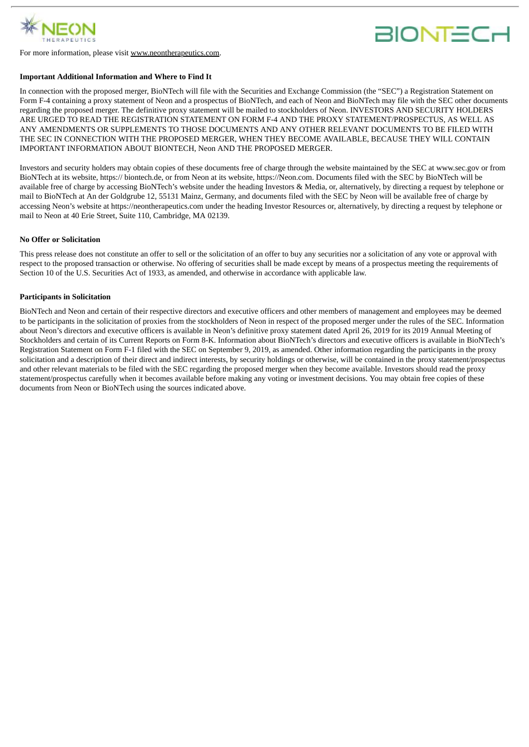



For more information, please visit www.neontherapeutics.com.

#### **Important Additional Information and Where to Find It**

In connection with the proposed merger, BioNTech will file with the Securities and Exchange Commission (the "SEC") a Registration Statement on Form F-4 containing a proxy statement of Neon and a prospectus of BioNTech, and each of Neon and BioNTech may file with the SEC other documents regarding the proposed merger. The definitive proxy statement will be mailed to stockholders of Neon. INVESTORS AND SECURITY HOLDERS ARE URGED TO READ THE REGISTRATION STATEMENT ON FORM F-4 AND THE PROXY STATEMENT/PROSPECTUS, AS WELL AS ANY AMENDMENTS OR SUPPLEMENTS TO THOSE DOCUMENTS AND ANY OTHER RELEVANT DOCUMENTS TO BE FILED WITH THE SEC IN CONNECTION WITH THE PROPOSED MERGER, WHEN THEY BECOME AVAILABLE, BECAUSE THEY WILL CONTAIN IMPORTANT INFORMATION ABOUT BIONTECH, Neon AND THE PROPOSED MERGER.

Investors and security holders may obtain copies of these documents free of charge through the website maintained by the SEC at www.sec.gov or from BioNTech at its website, https:// biontech.de, or from Neon at its website, https://Neon.com. Documents filed with the SEC by BioNTech will be available free of charge by accessing BioNTech's website under the heading Investors & Media, or, alternatively, by directing a request by telephone or mail to BioNTech at An der Goldgrube 12, 55131 Mainz, Germany, and documents filed with the SEC by Neon will be available free of charge by accessing Neon's website at https://neontherapeutics.com under the heading Investor Resources or, alternatively, by directing a request by telephone or mail to Neon at 40 Erie Street, Suite 110, Cambridge, MA 02139.

#### **No Offer or Solicitation**

This press release does not constitute an offer to sell or the solicitation of an offer to buy any securities nor a solicitation of any vote or approval with respect to the proposed transaction or otherwise. No offering of securities shall be made except by means of a prospectus meeting the requirements of Section 10 of the U.S. Securities Act of 1933, as amended, and otherwise in accordance with applicable law.

#### **Participants in Solicitation**

BioNTech and Neon and certain of their respective directors and executive officers and other members of management and employees may be deemed to be participants in the solicitation of proxies from the stockholders of Neon in respect of the proposed merger under the rules of the SEC. Information about Neon's directors and executive officers is available in Neon's definitive proxy statement dated April 26, 2019 for its 2019 Annual Meeting of Stockholders and certain of its Current Reports on Form 8-K. Information about BioNTech's directors and executive officers is available in BioNTech's Registration Statement on Form F-1 filed with the SEC on September 9, 2019, as amended. Other information regarding the participants in the proxy solicitation and a description of their direct and indirect interests, by security holdings or otherwise, will be contained in the proxy statement/prospectus and other relevant materials to be filed with the SEC regarding the proposed merger when they become available. Investors should read the proxy statement/prospectus carefully when it becomes available before making any voting or investment decisions. You may obtain free copies of these documents from Neon or BioNTech using the sources indicated above.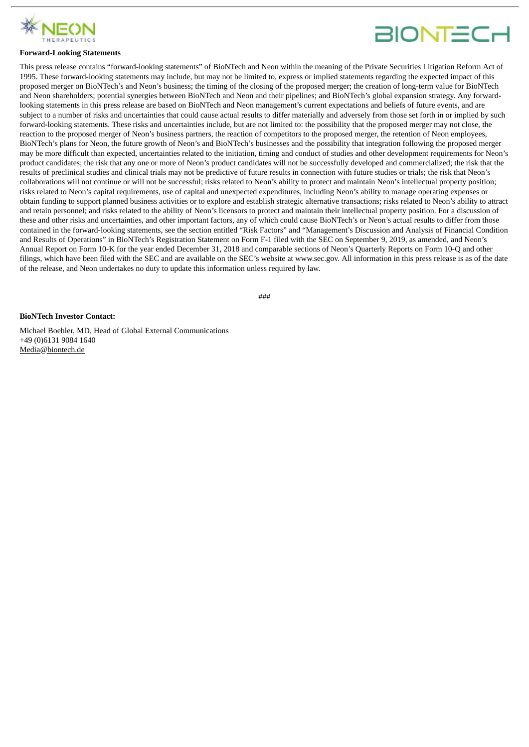

# **RIONTECH**

#### **Forward-Looking Statements**

This press release contains "forward-looking statements" of BioNTech and Neon within the meaning of the Private Securities Litigation Reform Act of 1995. These forward-looking statements may include, but may not be limited to, express or implied statements regarding the expected impact of this proposed merger on BioNTech's and Neon's business; the timing of the closing of the proposed merger; the creation of long-term value for BioNTech and Neon shareholders; potential synergies between BioNTech and Neon and their pipelines; and BioNTech's global expansion strategy. Any forwardlooking statements in this press release are based on BioNTech and Neon management's current expectations and beliefs of future events, and are subject to a number of risks and uncertainties that could cause actual results to differ materially and adversely from those set forth in or implied by such forward-looking statements. These risks and uncertainties include, but are not limited to: the possibility that the proposed merger may not close, the reaction to the proposed merger of Neon's business partners, the reaction of competitors to the proposed merger, the retention of Neon employees, BioNTech's plans for Neon, the future growth of Neon's and BioNTech's businesses and the possibility that integration following the proposed merger may be more difficult than expected, uncertainties related to the initiation, timing and conduct of studies and other development requirements for Neon's product candidates; the risk that any one or more of Neon's product candidates will not be successfully developed and commercialized; the risk that the results of preclinical studies and clinical trials may not be predictive of future results in connection with future studies or trials; the risk that Neon's collaborations will not continue or will not be successful; risks related to Neon's ability to protect and maintain Neon's intellectual property position; risks related to Neon's capital requirements, use of capital and unexpected expenditures, including Neon's ability to manage operating expenses or obtain funding to support planned business activities or to explore and establish strategic alternative transactions; risks related to Neon's ability to attract and retain personnel; and risks related to the ability of Neon's licensors to protect and maintain their intellectual property position. For a discussion of these and other risks and uncertainties, and other important factors, any of which could cause BioNTech's or Neon's actual results to differ from those contained in the forward-looking statements, see the section entitled "Risk Factors" and "Management's Discussion and Analysis of Financial Condition and Results of Operations" in BioNTech's Registration Statement on Form F-1 filed with the SEC on September 9, 2019, as amended, and Neon's Annual Report on Form 10-K for the year ended December 31, 2018 and comparable sections of Neon's Quarterly Reports on Form 10-Q and other filings, which have been filed with the SEC and are available on the SEC's website at www.sec.gov. All information in this press release is as of the date of the release, and Neon undertakes no duty to update this information unless required by law.

```
###
```
#### **BioNTech Investor Contact:**

Michael Boehler, MD, Head of Global External Communications +49 (0)6131 9084 1640 Media@biontech.de